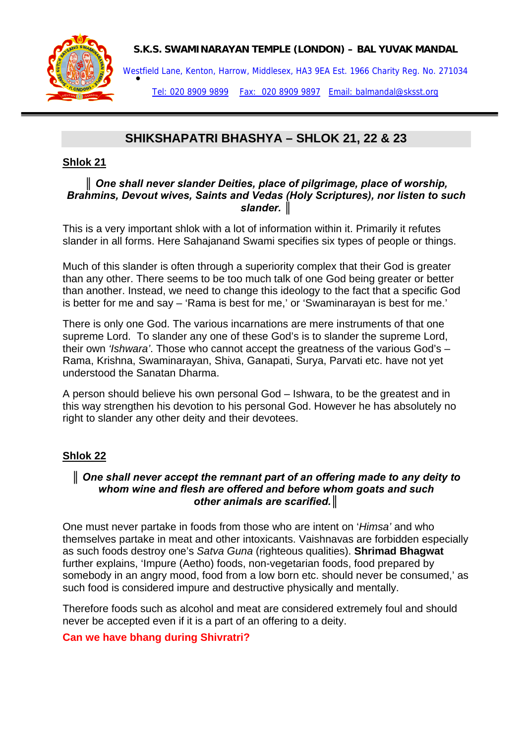

**S.K.S. SWAMINARAYAN TEMPLE (LONDON) – BAL YUVAK MANDAL** 

Westfield Lane, Kenton, Harrow, Middlesex, HA3 9EA Est. 1966 Charity Reg. No. 271034<br>●

Tel: 020 8909 9899 Fax: 020 8909 9897 Email: balmandal@sksst.org

# **SHIKSHAPATRI BHASHYA – SHLOK 21, 22 & 23**

## **Shlok 21**

### *║ One shall never slander Deities, place of pilgrimage, place of worship, Brahmins, Devout wives, Saints and Vedas (Holy Scriptures), nor listen to such slander. ║*

This is a very important shlok with a lot of information within it. Primarily it refutes slander in all forms. Here Sahajanand Swami specifies six types of people or things.

Much of this slander is often through a superiority complex that their God is greater than any other. There seems to be too much talk of one God being greater or better than another. Instead, we need to change this ideology to the fact that a specific God is better for me and say – 'Rama is best for me,' or 'Swaminarayan is best for me.'

There is only one God. The various incarnations are mere instruments of that one supreme Lord. To slander any one of these God's is to slander the supreme Lord, their own *'Ishwara'*. Those who cannot accept the greatness of the various God's – Rama, Krishna, Swaminarayan, Shiva, Ganapati, Surya, Parvati etc. have not yet understood the Sanatan Dharma.

A person should believe his own personal God – Ishwara, to be the greatest and in this way strengthen his devotion to his personal God. However he has absolutely no right to slander any other deity and their devotees.

## **Shlok 22**

### *║ One shall never accept the remnant part of an offering made to any deity to whom wine and flesh are offered and before whom goats and such other animals are scarified.║*

One must never partake in foods from those who are intent on '*Himsa'* and who themselves partake in meat and other intoxicants. Vaishnavas are forbidden especially as such foods destroy one's *Satva Guna* (righteous qualities). **Shrimad Bhagwat** further explains, 'Impure (Aetho) foods, non-vegetarian foods, food prepared by somebody in an angry mood, food from a low born etc. should never be consumed,' as such food is considered impure and destructive physically and mentally.

Therefore foods such as alcohol and meat are considered extremely foul and should never be accepted even if it is a part of an offering to a deity.

## **Can we have bhang during Shivratri?**